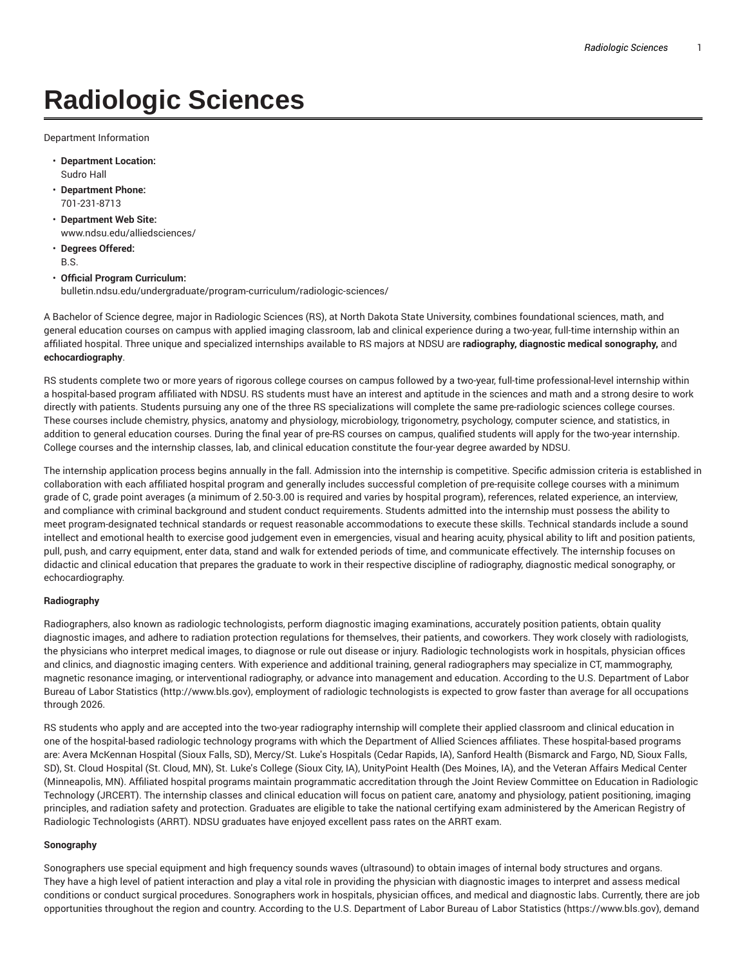# **Radiologic Sciences**

Department Information

- **Department Location:** Sudro Hall
- **Department Phone:** 701-231-8713
- **Department Web Site:** www.ndsu.edu/alliedsciences/
- **Degrees Offered:** B.S.
- **Official Program Curriculum:** bulletin.ndsu.edu/undergraduate/program-curriculum/radiologic-sciences/

A Bachelor of Science degree, major in Radiologic Sciences (RS), at North Dakota State University, combines foundational sciences, math, and general education courses on campus with applied imaging classroom, lab and clinical experience during a two-year, full-time internship within an affiliated hospital. Three unique and specialized internships available to RS majors at NDSU are **radiography, diagnostic medical sonography,** and **echocardiography**.

RS students complete two or more years of rigorous college courses on campus followed by a two-year, full-time professional-level internship within a hospital-based program affiliated with NDSU. RS students must have an interest and aptitude in the sciences and math and a strong desire to work directly with patients. Students pursuing any one of the three RS specializations will complete the same pre-radiologic sciences college courses. These courses include chemistry, physics, anatomy and physiology, microbiology, trigonometry, psychology, computer science, and statistics, in addition to general education courses. During the final year of pre-RS courses on campus, qualified students will apply for the two-year internship. College courses and the internship classes, lab, and clinical education constitute the four-year degree awarded by NDSU.

The internship application process begins annually in the fall. Admission into the internship is competitive. Specific admission criteria is established in collaboration with each affiliated hospital program and generally includes successful completion of pre-requisite college courses with a minimum grade of C, grade point averages (a minimum of 2.50-3.00 is required and varies by hospital program), references, related experience, an interview, and compliance with criminal background and student conduct requirements. Students admitted into the internship must possess the ability to meet program-designated technical standards or request reasonable accommodations to execute these skills. Technical standards include a sound intellect and emotional health to exercise good judgement even in emergencies, visual and hearing acuity, physical ability to lift and position patients, pull, push, and carry equipment, enter data, stand and walk for extended periods of time, and communicate effectively. The internship focuses on didactic and clinical education that prepares the graduate to work in their respective discipline of radiography, diagnostic medical sonography, or echocardiography.

### **Radiography**

Radiographers, also known as radiologic technologists, perform diagnostic imaging examinations, accurately position patients, obtain quality diagnostic images, and adhere to radiation protection regulations for themselves, their patients, and coworkers. They work closely with radiologists, the physicians who interpret medical images, to diagnose or rule out disease or injury. Radiologic technologists work in hospitals, physician offices and clinics, and diagnostic imaging centers. With experience and additional training, general radiographers may specialize in CT, mammography, magnetic resonance imaging, or interventional radiography, or advance into management and education. According to the U.S. Department of Labor Bureau of Labor Statistics (http://www.bls.gov), employment of radiologic technologists is expected to grow faster than average for all occupations through 2026.

RS students who apply and are accepted into the two-year radiography internship will complete their applied classroom and clinical education in one of the hospital-based radiologic technology programs with which the Department of Allied Sciences affiliates. These hospital-based programs are: Avera McKennan Hospital (Sioux Falls, SD), Mercy/St. Luke's Hospitals (Cedar Rapids, IA), Sanford Health (Bismarck and Fargo, ND, Sioux Falls, SD), St. Cloud Hospital (St. Cloud, MN), St. Luke's College (Sioux City, IA), UnityPoint Health (Des Moines, IA), and the Veteran Affairs Medical Center (Minneapolis, MN). Affiliated hospital programs maintain programmatic accreditation through the Joint Review Committee on Education in Radiologic Technology (JRCERT). The internship classes and clinical education will focus on patient care, anatomy and physiology, patient positioning, imaging principles, and radiation safety and protection. Graduates are eligible to take the national certifying exam administered by the American Registry of Radiologic Technologists (ARRT). NDSU graduates have enjoyed excellent pass rates on the ARRT exam.

#### **Sonography**

Sonographers use special equipment and high frequency sounds waves (ultrasound) to obtain images of internal body structures and organs. They have a high level of patient interaction and play a vital role in providing the physician with diagnostic images to interpret and assess medical conditions or conduct surgical procedures. Sonographers work in hospitals, physician offices, and medical and diagnostic labs. Currently, there are job opportunities throughout the region and country. According to the U.S. Department of Labor Bureau of Labor Statistics (https://www.bls.gov), demand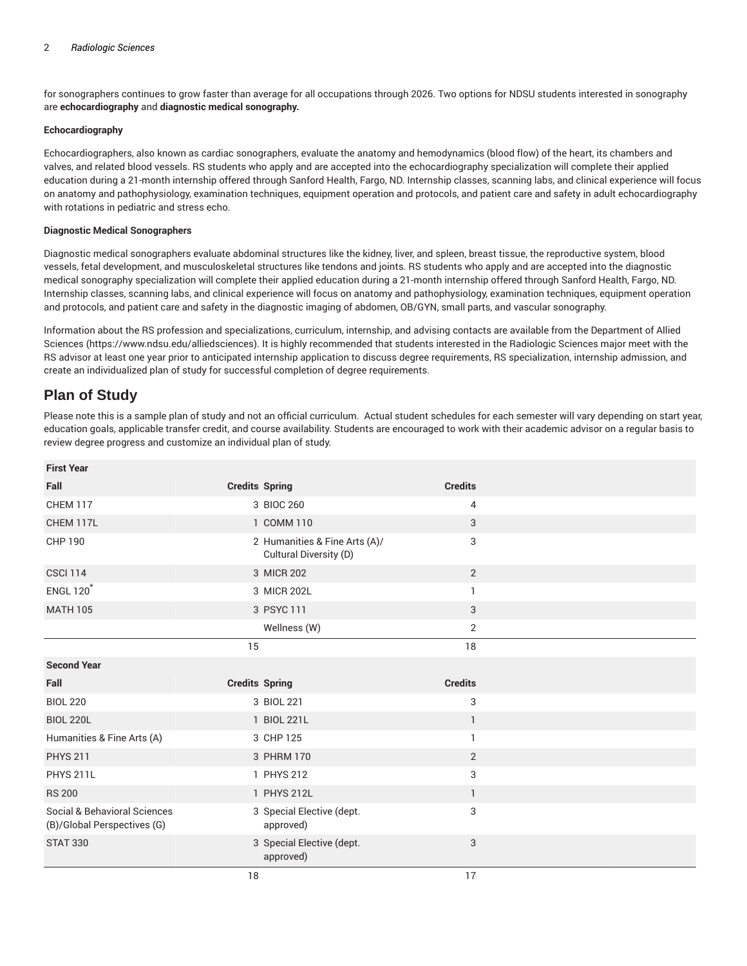for sonographers continues to grow faster than average for all occupations through 2026. Two options for NDSU students interested in sonography are **echocardiography** and **diagnostic medical sonography.**

#### **Echocardiography**

Echocardiographers, also known as cardiac sonographers, evaluate the anatomy and hemodynamics (blood flow) of the heart, its chambers and valves, and related blood vessels. RS students who apply and are accepted into the echocardiography specialization will complete their applied education during a 21-month internship offered through Sanford Health, Fargo, ND. Internship classes, scanning labs, and clinical experience will focus on anatomy and pathophysiology, examination techniques, equipment operation and protocols, and patient care and safety in adult echocardiography with rotations in pediatric and stress echo.

#### **Diagnostic Medical Sonographers**

Diagnostic medical sonographers evaluate abdominal structures like the kidney, liver, and spleen, breast tissue, the reproductive system, blood vessels, fetal development, and musculoskeletal structures like tendons and joints. RS students who apply and are accepted into the diagnostic medical sonography specialization will complete their applied education during a 21-month internship offered through Sanford Health, Fargo, ND. Internship classes, scanning labs, and clinical experience will focus on anatomy and pathophysiology, examination techniques, equipment operation and protocols, and patient care and safety in the diagnostic imaging of abdomen, OB/GYN, small parts, and vascular sonography.

Information about the RS profession and specializations, curriculum, internship, and advising contacts are available from the Department of Allied Sciences (https://www.ndsu.edu/alliedsciences). It is highly recommended that students interested in the Radiologic Sciences major meet with the RS advisor at least one year prior to anticipated internship application to discuss degree requirements, RS specialization, internship admission, and create an individualized plan of study for successful completion of degree requirements.

## **Plan of Study**

Please note this is a sample plan of study and not an official curriculum. Actual student schedules for each semester will vary depending on start year, education goals, applicable transfer credit, and course availability. Students are encouraged to work with their academic advisor on a regular basis to review degree progress and customize an individual plan of study.

| <b>First Year</b>                                           |                                                         |                |  |
|-------------------------------------------------------------|---------------------------------------------------------|----------------|--|
| Fall                                                        | <b>Credits Spring</b>                                   | <b>Credits</b> |  |
| <b>CHEM 117</b>                                             | 3 BIOC 260                                              | 4              |  |
| CHEM 117L                                                   | 1 COMM 110                                              | 3              |  |
| <b>CHP 190</b>                                              | 2 Humanities & Fine Arts (A)/<br>Cultural Diversity (D) | 3              |  |
| <b>CSCI 114</b>                                             | 3 MICR 202                                              | $\overline{2}$ |  |
| <b>ENGL 120<sup>*</sup></b>                                 | 3 MICR 202L                                             | 1              |  |
| <b>MATH 105</b>                                             | 3 PSYC 111                                              | 3              |  |
|                                                             | Wellness (W)                                            | $\overline{2}$ |  |
|                                                             | 15                                                      | 18             |  |
| <b>Second Year</b>                                          |                                                         |                |  |
|                                                             |                                                         |                |  |
| Fall                                                        | <b>Credits Spring</b>                                   | <b>Credits</b> |  |
| <b>BIOL 220</b>                                             | 3 BIOL 221                                              | 3              |  |
| <b>BIOL 220L</b>                                            | 1 BIOL 221L                                             | 1              |  |
| Humanities & Fine Arts (A)                                  | 3 CHP 125                                               | 1              |  |
| <b>PHYS 211</b>                                             | 3 PHRM 170                                              | $\overline{2}$ |  |
| <b>PHYS 211L</b>                                            | 1 PHYS 212                                              | 3              |  |
| <b>RS 200</b>                                               | 1 PHYS 212L                                             | $\mathbf{1}$   |  |
| Social & Behavioral Sciences<br>(B)/Global Perspectives (G) | 3 Special Elective (dept.<br>approved)                  | 3              |  |
| <b>STAT 330</b>                                             | 3 Special Elective (dept.<br>approved)                  | 3              |  |